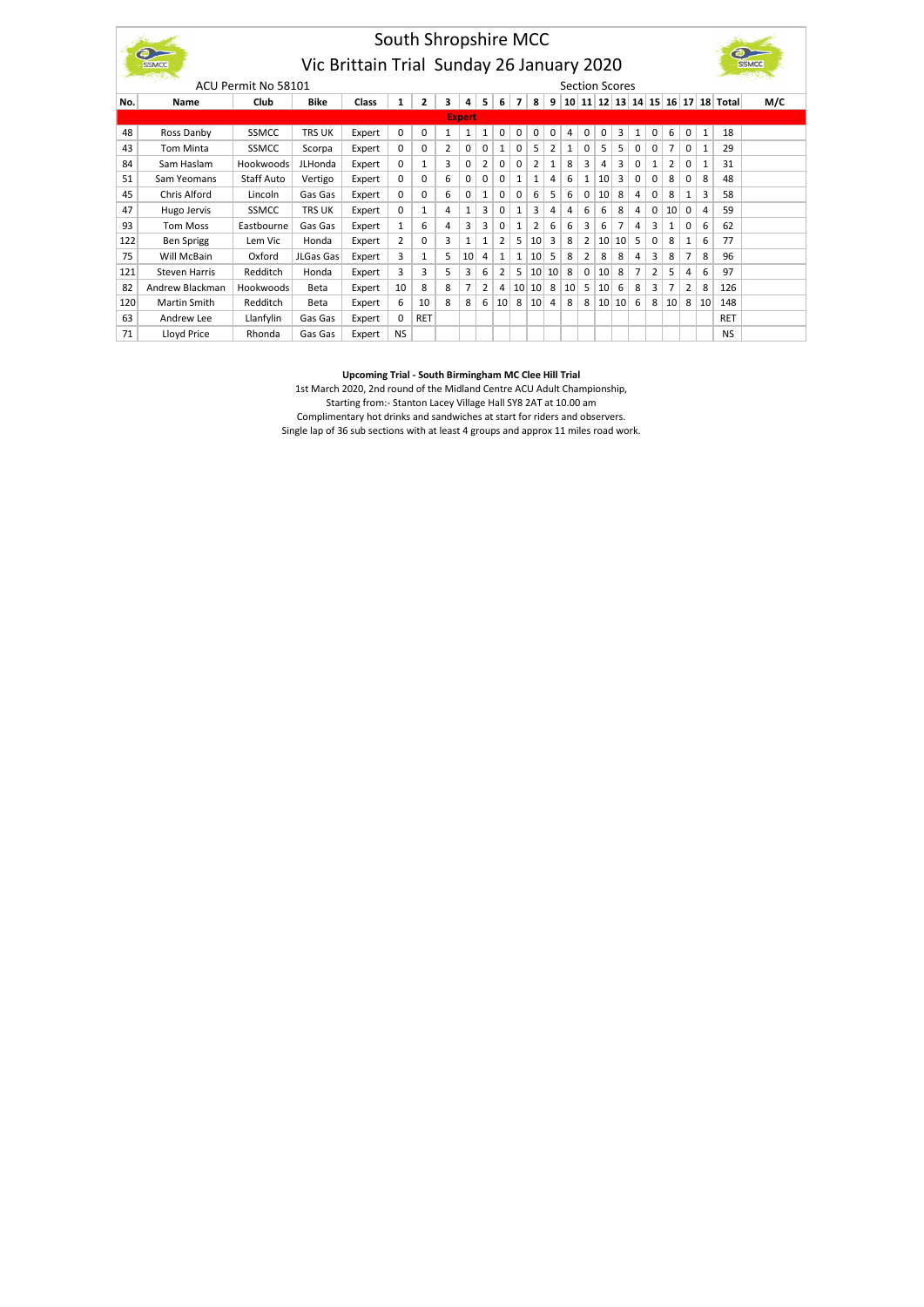|     | South Shropshire MCC                               |              |                |        |                |              |   |              |              |                 |                 |    |    |       |   |                 |                 |   |          |                |   |    |            |     |
|-----|----------------------------------------------------|--------------|----------------|--------|----------------|--------------|---|--------------|--------------|-----------------|-----------------|----|----|-------|---|-----------------|-----------------|---|----------|----------------|---|----|------------|-----|
|     |                                                    |              |                |        |                |              |   |              |              |                 |                 |    |    |       |   |                 |                 |   |          |                |   |    |            |     |
|     | Vic Brittain Trial Sunday 26 January 2020<br>SSMCC |              |                |        |                |              |   |              |              |                 |                 |    |    |       |   |                 |                 |   |          |                |   |    |            |     |
|     | ACU Permit No 58101<br><b>Section Scores</b>       |              |                |        |                |              |   |              |              |                 |                 |    |    |       |   |                 |                 |   |          |                |   |    |            |     |
| No. | <b>Name</b>                                        | Club         | <b>Bike</b>    | Class  | 1              | 2            | з | 4            | 5            | 6               | 7               | 8  | 9  | 10 11 |   |                 | 12 13 14        |   |          | 15 16 17       |   |    | 18 Total   | M/C |
|     | <b>Expert</b>                                      |              |                |        |                |              |   |              |              |                 |                 |    |    |       |   |                 |                 |   |          |                |   |    |            |     |
| 48  | Ross Danby                                         | SSMCC        | <b>TRS UK</b>  | Expert | $\Omega$       | 0            | 1 | 1            | 1            | 0               | 0               | 0  | 0  | 4     | 0 | 0               | 3               | 1 | 0        | 6              | 0 | 1  | 18         |     |
| 43  | <b>Tom Minta</b>                                   | <b>SSMCC</b> | Scorpa         | Expert | $\Omega$       | 0            | 2 | 0            | 0            | 1               | 0               | 5  | 2  | 1     | 0 | 5               | 5               | 0 | 0        | 7              | 0 | 1  | 29         |     |
| 84  | Sam Haslam                                         | Hookwoods    | <b>JLHonda</b> | Expert | $\Omega$       | 1            | 3 | 0            | 2            | 0               | 0               | 2  | 1  | 8     | 3 | 4               | 3               | 0 | 1        | 2              | 0 | 1  | 31         |     |
| 51  | Sam Yeomans                                        | Staff Auto   | Vertigo        | Expert | $\Omega$       | 0            | 6 | 0            | 0            | 0               | 1               | 1  | 4  | 6     | 1 | 10              | 3               | 0 | $\Omega$ | 8              | 0 | 8  | 48         |     |
| 45  | Chris Alford                                       | Lincoln      | Gas Gas        | Expert | $\Omega$       | 0            | 6 | 0            | $\mathbf{1}$ | 0               | 0               | 6  | 5  | 6     | 0 | 10              | 8               | 4 | 0        | 8              | 1 | 3  | 58         |     |
| 47  | Hugo Jervis                                        | SSMCC        | <b>TRS UK</b>  | Expert | $\Omega$       | $\mathbf{1}$ | 4 | $\mathbf{1}$ | 3            | 0               | 1               | 3  | 4  | 4     | 6 | 6               | 8               | 4 | 0        | 10             | 0 | 4  | 59         |     |
| 93  | <b>Tom Moss</b>                                    | Eastbourne   | Gas Gas        | Expert | $\mathbf{1}$   | 6            | 4 | 3            | 3            | 0               | 1               | 2  | 6  | 6     | 3 | 6               | 7               | 4 | 3        | 1              | 0 | 6  | 62         |     |
| 122 | <b>Ben Sprigg</b>                                  | Lem Vic      | Honda          | Expert | $\overline{2}$ | 0            | 3 | $1\,$        | 1            | 2               | 5               | 10 | 3  | 8     | 2 | 10 <sup>1</sup> | 10 <sup>1</sup> | 5 | 0        | 8              | 1 | 6  | 77         |     |
| 75  | Will McBain                                        | Oxford       | JLGas Gas      | Expert | 3              | 1            | 5 | 10           | 4            | 1               | 1               | 10 | 5  | 8     | 2 | 8               | 8               | 4 | 3        | 8              | 7 | 8  | 96         |     |
| 121 | <b>Steven Harris</b>                               | Redditch     | Honda          | Expert | 3              | 3            | 5 | 3            | 6            | $\overline{2}$  | 5               | 10 | 10 | 8     | 0 | 10              | 8               | 7 | 2        | 5              | 4 | 6  | 97         |     |
| 82  | Andrew Blackman                                    | Hookwoods    | Beta           | Expert | 10             | 8            | 8 | 7            | 2            | 4               | 10 <sup>1</sup> | 10 | 8  | 10    | 5 | 10              | 6               | 8 | 3        | $\overline{7}$ | 2 | 8  | 126        |     |
| 120 | Martin Smith                                       | Redditch     | Beta           | Expert | 6              | 10           | 8 | 8            | 6            | 10 <sup>1</sup> | 8               | 10 | 4  | 8     | 8 |                 | 10 10           | 6 | 8        | 10             | 8 | 10 | 148        |     |
| 63  | Andrew Lee                                         | Llanfylin    | Gas Gas        | Expert | $\Omega$       | <b>RET</b>   |   |              |              |                 |                 |    |    |       |   |                 |                 |   |          |                |   |    | <b>RET</b> |     |
| 71  | Lloyd Price                                        | Rhonda       | Gas Gas        | Expert | <b>NS</b>      |              |   |              |              |                 |                 |    |    |       |   |                 |                 |   |          |                |   |    | <b>NS</b>  |     |

## **Upcoming Trial - South Birmingham MC Clee Hill Trial**

1st March 2020, 2nd round of the Midland Centre ACU Adult Championship, Starting from:- Stanton Lacey Village Hall SY8 2AT at 10.00 am Complimentary hot drinks and sandwiches at start for riders and observers. Single lap of 36 sub sections with at least 4 groups and approx 11 miles road work.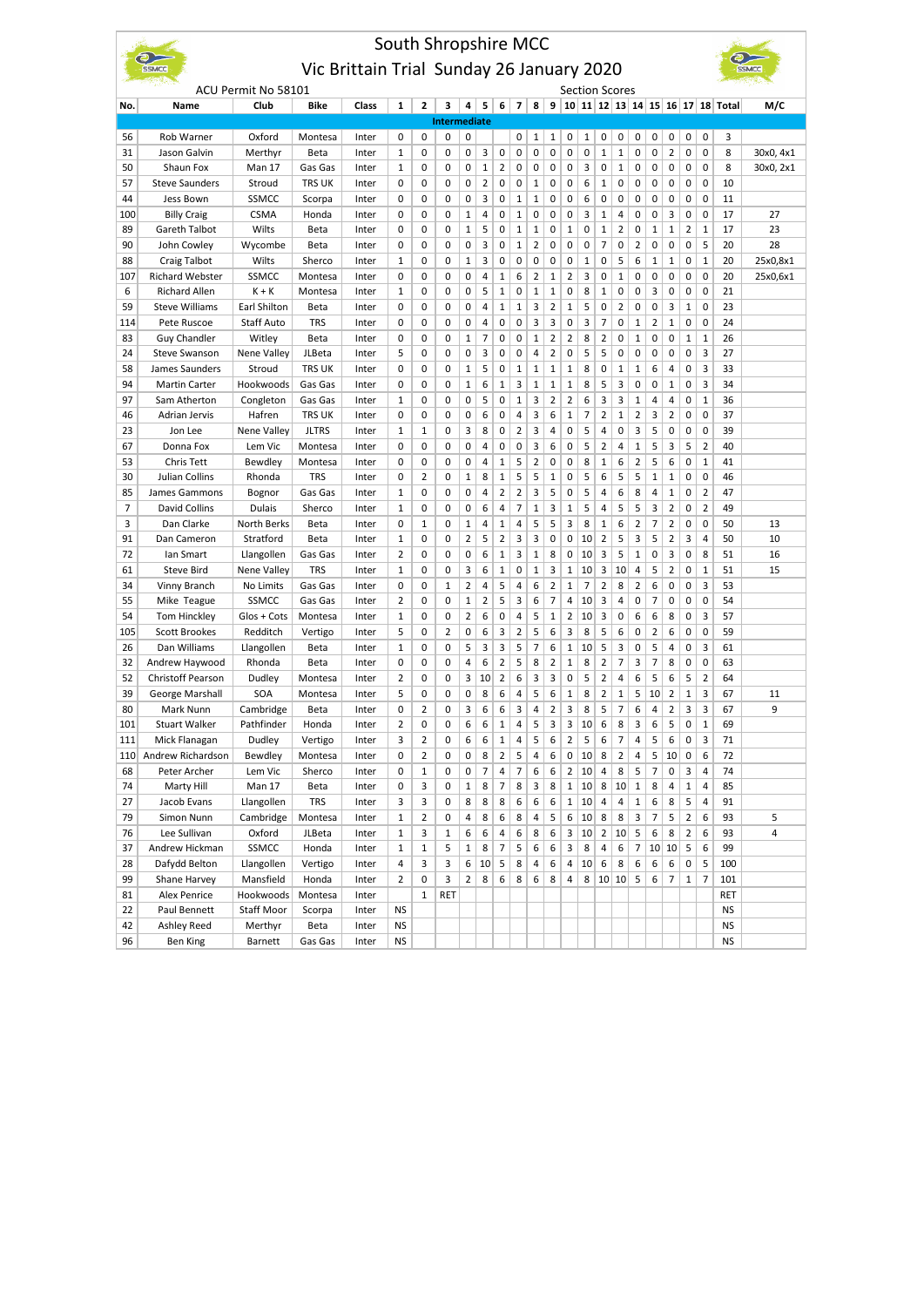|                |                                                                  |                         |                    |                |                 |                | South Shropshire MCC |                |                |                   |                |              |                |                         |                |                  |                |                     |                   |                         |                |                   |                                                        |           |
|----------------|------------------------------------------------------------------|-------------------------|--------------------|----------------|-----------------|----------------|----------------------|----------------|----------------|-------------------|----------------|--------------|----------------|-------------------------|----------------|------------------|----------------|---------------------|-------------------|-------------------------|----------------|-------------------|--------------------------------------------------------|-----------|
|                | $\epsilon$<br>Vic Brittain Trial Sunday 26 January 2020<br>SSMCC |                         |                    |                |                 |                |                      |                |                |                   |                |              |                |                         |                |                  |                |                     |                   |                         |                |                   |                                                        |           |
|                | ACU Permit No 58101<br><b>Section Scores</b>                     |                         |                    |                |                 |                |                      |                |                |                   |                |              |                |                         |                |                  |                |                     |                   |                         |                |                   |                                                        |           |
| No.            | Name                                                             | Club                    | <b>Bike</b>        | Class          | 1               | $\mathbf{2}$   | 3                    | 4              | 5              | 6                 | 7              | 8            |                |                         |                |                  |                |                     |                   |                         |                |                   | 9   10   11   12   13   14   15   16   17   18   Total | M/C       |
|                |                                                                  |                         |                    |                |                 |                | <b>Intermediate</b>  |                |                |                   |                |              |                |                         |                |                  |                |                     |                   |                         |                |                   |                                                        |           |
| 56             | Rob Warner                                                       | Oxford                  | Montesa            | Inter          | 0               | 0              | 0                    | 0              |                |                   | 0              | 1            | 1              | 0                       | 1              | 0                | 0              | 0                   | 0                 | 0                       | 0              | 0                 | 3                                                      |           |
| 31             | Jason Galvin                                                     | Merthyr                 | Beta               | Inter          | 1               | 0              | 0                    | 0              | 3              | 0                 | 0              | 0            | 0              | 0                       | 0              | $\mathbf 1$      | $\mathbf{1}$   | 0                   | 0                 | 2                       | 0              | 0                 | 8                                                      | 30x0, 4x1 |
| 50             | Shaun Fox                                                        | Man 17                  | Gas Gas            | Inter          | 1               | 0              | 0                    | 0              | $\mathbf{1}$   | 2                 | 0              | 0            | 0              | 0                       | 3              | 0                | 1              | 0                   | 0                 | 0                       | 0              | 0                 | 8                                                      | 30x0, 2x1 |
| 57             | <b>Steve Saunders</b>                                            | Stroud                  | trs uk             | Inter          | 0               | 0              | 0                    | 0              | $\overline{2}$ | 0                 | 0              | $\mathbf{1}$ | 0              | 0                       | 6              | 1                | 0              | 0                   | 0                 | 0                       | 0              | 0                 | 10                                                     |           |
| 44             | Jess Bown                                                        | SSMCC                   | Scorpa             | Inter          | 0               | 0              | 0                    | 0              | 3              | 0                 | 1              | $\mathbf{1}$ | 0              | 0                       | 6              | 0                | 0              | 0                   | 0                 | 0                       | 0              | 0                 | 11                                                     |           |
| 100            | <b>Billy Craig</b>                                               | <b>CSMA</b>             | Honda              | Inter          | 0               | 0              | 0                    | 1              | 4              | 0                 | 1              | 0            | 0              | 0                       | 3              | 1                | 4              | 0                   | 0                 | 3                       | 0              | 0                 | 17                                                     | 27        |
| 89             | Gareth Talbot                                                    | Wilts                   | Beta               | Inter          | 0               | 0              | 0                    | $\mathbf 1$    | 5              | 0                 | 1              | $\mathbf{1}$ | 0              | 1                       | 0              | $\mathbf 1$      | 2              | 0                   | $\mathbf{1}$      | $\mathbf 1$             | $\overline{2}$ | $1\,$             | 17                                                     | 23        |
| 90<br>88       | John Cowley                                                      | Wycombe                 | Beta               | Inter          | 0<br>1          | 0<br>0         | 0<br>0               | 0              | 3<br>3         | 0<br>0            | 1<br>0         | 2<br>0       | 0<br>0         | 0<br>0                  | 0<br>$1\,$     | 7<br>0           | 0<br>5         | $\overline{2}$<br>6 | 0<br>$\mathbf{1}$ | 0<br>$\mathbf{1}$       | 0<br>0         | 5<br>$\mathbf{1}$ | 20<br>20                                               | 28        |
|                | <b>Craig Talbot</b>                                              | Wilts                   | Sherco             | Inter          | 0               | 0              | 0                    | $\mathbf 1$    | 4              |                   |                | 2            |                | 2                       | 3              |                  |                |                     |                   | 0                       | 0              | 0                 | 20                                                     | 25x0,8x1  |
| 107<br>6       | <b>Richard Webster</b><br><b>Richard Allen</b>                   | <b>SSMCC</b><br>$K + K$ | Montesa<br>Montesa | Inter<br>Inter | 1               | 0              | 0                    | 0<br>0         | 5              | 1<br>$\mathbf{1}$ | 6<br>0         | $\mathbf{1}$ | 1<br>1         | 0                       | 8              | 0<br>$\mathbf 1$ | 1<br>0         | 0<br>0              | 0<br>3            | 0                       | 0              | 0                 | 21                                                     | 25x0,6x1  |
| 59             | <b>Steve Williams</b>                                            | Earl Shilton            | Beta               | Inter          | 0               | 0              | 0                    | 0              | 4              | $\mathbf 1$       | 1              | 3            | $\overline{2}$ | $\mathbf{1}$            | 5              | 0                | 2              | 0                   | 0                 | 3                       | $\mathbf{1}$   | 0                 | 23                                                     |           |
| 114            | Pete Ruscoe                                                      | Staff Auto              | <b>TRS</b>         | Inter          | 0               | 0              | 0                    | 0              | 4              | 0                 | 0              | 3            | 3              | 0                       | 3              | 7                | 0              | $\mathbf 1$         | 2                 | $\mathbf{1}$            | 0              | 0                 | 24                                                     |           |
| 83             | Guy Chandler                                                     | Witley                  | Beta               | Inter          | 0               | 0              | 0                    | $\mathbf{1}$   | 7              | 0                 | 0              | $\mathbf{1}$ | 2              | 2                       | 8              | $\overline{2}$   | 0              | $\mathbf 1$         | 0                 | 0                       | $\mathbf{1}$   | $1\,$             | 26                                                     |           |
| 24             | Steve Swanson                                                    | Nene Valley             | JLBeta             | Inter          | 5               | 0              | 0                    | 0              | 3              | 0                 | 0              | 4            | 2              | 0                       | 5              | 5                | 0              | 0                   | 0                 | 0                       | 0              | 3                 | 27                                                     |           |
| 58             | James Saunders                                                   | Stroud                  | <b>TRS UK</b>      | Inter          | 0               | 0              | 0                    | 1              | 5              | 0                 | 1              | $\mathbf{1}$ | 1              | 1                       | 8              | 0                | 1              | 1                   | 6                 | 4                       | 0              | 3                 | 33                                                     |           |
| 94             | <b>Martin Carter</b>                                             | Hookwoods               | Gas Gas            | Inter          | 0               | 0              | 0                    | $\mathbf{1}$   | 6              | $\mathbf{1}$      | 3              | $\mathbf{1}$ | 1              | 1                       | 8              | 5                | 3              | 0                   | 0                 | $\mathbf 1$             | 0              | 3                 | 34                                                     |           |
| 97             | Sam Atherton                                                     | Congleton               | Gas Gas            | Inter          | 1               | 0              | 0                    | 0              | 5              | 0                 | $\mathbf{1}$   | 3            | $\overline{2}$ | $\overline{2}$          | 6              | 3                | 3              | $\mathbf 1$         | 4                 | $\overline{4}$          | 0              | $\mathbf 1$       | 36                                                     |           |
| 46             | Adrian Jervis                                                    | Hafren                  | <b>TRS UK</b>      | Inter          | 0               | 0              | 0                    | 0              | 6              | 0                 | 4              | 3            | 6              | 1                       | $\overline{7}$ | 2                | 1              | $\overline{2}$      | 3                 | $\overline{2}$          | 0              | 0                 | 37                                                     |           |
| 23             | Jon Lee                                                          | Nene Valley             | <b>JLTRS</b>       | Inter          | 1               | $\mathbf 1$    | 0                    | 3              | 8              | 0                 | 2              | 3            | 4              | 0                       | 5              | 4                | 0              | 3                   | 5                 | 0                       | 0              | 0                 | 39                                                     |           |
| 67             | Donna Fox                                                        | Lem Vic                 | Montesa            | Inter          | 0               | 0              | 0                    | 0              | 4              | 0                 | 0              | 3            | 6              | 0                       | 5              | $\overline{2}$   | 4              | $\mathbf 1$         | 5                 | 3                       | 5              | $\overline{2}$    | 40                                                     |           |
| 53             | Chris Tett                                                       | Bewdley                 | Montesa            | Inter          | 0               | 0              | 0                    | 0              | 4              | $\mathbf{1}$      | 5              | 2            | 0              | 0                       | 8              | $\mathbf 1$      | 6              | $\overline{2}$      | 5                 | 6                       | 0              | $1\,$             | 41                                                     |           |
| 30             | Julian Collins                                                   | Rhonda                  | <b>TRS</b>         | Inter          | 0               | 2              | 0                    | $\mathbf 1$    | 8              | $\mathbf{1}$      | 5              | 5            | $\mathbf 1$    | 0                       | 5              | 6                | 5              | 5                   | $\mathbf{1}$      | $\mathbf 1$             | 0              | 0                 | 46                                                     |           |
| 85             | James Gammons                                                    | Bognor                  | Gas Gas            | Inter          | 1               | 0              | 0                    | 0              | 4              | $\overline{2}$    | $\overline{2}$ | 3            | 5              | 0                       | 5              | 4                | 6              | 8                   | 4                 | $\mathbf{1}$            | 0              | $\overline{2}$    | 47                                                     |           |
| $\overline{7}$ | David Collins                                                    | Dulais                  | Sherco             | Inter          | 1               | 0              | 0                    | 0              | 6              | 4                 | 7              | $\mathbf{1}$ | 3              | 1                       | 5              | 4                | 5              | 5                   | 3                 | $\overline{2}$          | 0              | $\overline{2}$    | 49                                                     |           |
| 3              | Dan Clarke                                                       | North Berks             | Beta               | Inter          | 0               | $\mathbf 1$    | 0                    | $\mathbf 1$    | 4              | 1                 | 4              | 5            | 5              | 3                       | 8              | $\mathbf 1$      | 6              | $\overline{2}$      | $\overline{7}$    | $\overline{\mathbf{c}}$ | 0              | 0                 | 50                                                     | 13        |
| 91             | Dan Cameron                                                      | Stratford               | Beta               | Inter          | 1               | 0              | 0                    | 2              | 5              | $\overline{2}$    | 3              | 3            | 0              | 0                       | 10             | $\overline{2}$   | 5              | 3                   | 5                 | $\overline{2}$          | 3              | 4                 | 50                                                     | 10        |
| 72             | lan Smart                                                        | Llangollen              | Gas Gas            | Inter          | 2               | 0              | 0                    | 0              | 6              | $\mathbf 1$       | 3              | $1\,$        | 8              | 0                       | 10             | 3                | 5              | 1                   | 0                 | 3                       | 0              | 8                 | 51                                                     | 16        |
| 61             | <b>Steve Bird</b>                                                | Nene Valley             | <b>TRS</b>         | Inter          | $\mathbf{1}$    | 0              | 0                    | 3              | 6              | $\mathbf{1}$      | 0              | $\mathbf 1$  | 3              | 1                       | 10             | 3                | 10             | 4                   | 5                 | $\overline{2}$          | 0              | $1\,$             | 51                                                     | 15        |
| 34             | Vinny Branch                                                     | No Limits               | Gas Gas            | Inter          | 0               | 0              | $\mathbf{1}$         | $\overline{2}$ | 4              | 5                 | 4              | 6            | $\overline{2}$ | $\mathbf{1}$            | 7              | $\overline{2}$   | 8              | 2                   | 6                 | 0                       | 0              | 3                 | 53                                                     |           |
| 55             | Mike Teague                                                      | SSMCC                   | Gas Gas            | Inter          | 2               | 0              | 0                    | $\mathbf{1}$   | $\overline{2}$ | 5                 | 3              | 6            | 7              | 4                       | 10             | 3                | 4              | 0                   | 7                 | 0                       | 0              | 0                 | 54                                                     |           |
| 54             | Tom Hinckley                                                     | Glos + Cots             | Montesa            | Inter          | 1               | 0              | 0                    | 2              | 6              | 0                 | 4              | 5            | 1              | 2                       | 10             | 3                | 0              | 6                   | 6                 | 8                       | 0              | 3                 | 57                                                     |           |
| 105            | Scott Brookes                                                    | Redditch                | Vertigo            | Inter          | 5               | 0              | $\overline{2}$       | 0              | 6              | 3                 | $\overline{2}$ | 5            | 6              | 3                       | 8              | 5                | 6              | 0                   | $\overline{2}$    | 6                       | 0              | 0                 | 59                                                     |           |
| 26             | Dan Williams                                                     | Llangollen              | Beta               | Inter          | 1               | 0              | 0                    | 5              | 3              | 3                 | 5              | 7            | 6              | $\mathbf{1}$            | 10             | 5                | 3              | 0                   | 5                 | 4                       | 0              | 3                 | 61                                                     |           |
| 32             | Andrew Haywood                                                   | Rhonda                  | Beta               | Inter          | 0               | 0              | 0                    | 4              | 6              | $\overline{2}$    | 5              | 8            | 2              | 1                       | 8              | 2                | 7              | 3                   | $\overline{7}$    | 8                       | 0              | 0                 | 63                                                     |           |
| 52             | <b>Christoff Pearson</b>                                         | Dudley                  | Montesa            | Inter          | 2               | 0              | 0                    | 3              | 10             | $\overline{2}$    | 6              | 3            | 3              | 0                       | 5              | 2                | 4              | 6                   | 5                 | 6                       | 5              | $\overline{2}$    | 64                                                     |           |
| 39             | <b>George Marshall</b>                                           | SOA                     | Montesa            | Inter          | 5               | 0              | 0                    | 0              | 8              | 6                 | 4              | 5            | 6              | 1                       | 8              | $\overline{2}$   | 1              | 5                   | 10                | $\overline{2}$          | $1\,$          | 3                 | 67                                                     | 11        |
| 80             | Mark Nunn                                                        | Cambridge               | Beta               | Inter          | 0               | $\overline{2}$ | 0                    | 3              | 6              | 6                 | 3              | 4            | $\overline{2}$ | 3                       | 8              | 5                | 7              | 6                   | 4                 | $\overline{2}$          | 3              | 3                 | 67                                                     | 9         |
| 101            | Stuart Walker                                                    | Pathfinder              | Honda              | Inter          | 2               | 0              | υ                    | 6              | 6              | 1                 | 4              | 5            | з              | з                       | 10             | 6                | 8              | 3                   | 6                 | 5                       | 0              | 1                 | 69                                                     |           |
| 111            | Mick Flanagan                                                    | Dudley                  | Vertigo            | Inter          | 3               | 2              | 0                    | 6              | 6              | $\mathbf 1$       | 4              | 5            | 6              | 2                       | 5              | 6                | 7              | 4                   | 5                 | 6                       | 0              | 3                 | 71                                                     |           |
|                | 110 Andrew Richardson                                            | Bewdley                 | Montesa            | Inter          | 0               | 2              | 0                    | 0              | 8              | $\overline{2}$    | 5              | 4            | 6              | 0                       | 10             | 8                | $\overline{2}$ | 4                   | 5                 | 10                      | 0              | 6                 | 72                                                     |           |
| 68             | Peter Archer                                                     | Lem Vic                 | Sherco             | Inter          | 0               | $1\,$          | 0                    | 0              | $\overline{7}$ | 4                 | 7              | 6            | 6              | $\overline{\mathbf{c}}$ | 10             | 4                | 8              | 5                   | 7                 | $\pmb{0}$               | 3              | 4                 | 74                                                     |           |
| 74             | Marty Hill                                                       | Man 17                  | Beta               | Inter          | 0               | 3              | 0                    | 1              | 8              | 7                 | 8              | 3            | 8              | $\mathbf 1$             | 10             | 8                | 10             | $\mathbf 1$         | 8                 | $\sqrt{4}$              | $\mathbf 1$    | 4                 | 85                                                     |           |
| 27             | Jacob Evans                                                      | Llangollen              | TRS                | Inter          | 3               | 3              | 0                    | 8              | 8              | 8                 | 6              | 6            | 6              | $\mathbf 1$             | 10             | 4                | 4              | $\mathbf{1}$        | 6                 | 8                       | 5              | 4                 | 91                                                     |           |
| 79             | Simon Nunn                                                       | Cambridge               | Montesa            | Inter          | $\mathbf{1}$    | $\overline{2}$ | 0                    | 4              | 8              | 6                 | 8              | 4            | 5              | 6                       | 10             | 8                | 8              | 3                   | 7                 | 5                       | $\overline{2}$ | 6                 | 93                                                     | 5         |
| 76             | Lee Sullivan                                                     | Oxford                  | JLBeta             | Inter          | 1               | 3              | $\mathbf{1}$         | 6              | 6              | 4                 | 6              | 8            | 6              | 3                       | 10             | $\overline{2}$   | 10             | 5                   | 6                 | 8                       | $\overline{2}$ | 6                 | 93                                                     | 4         |
| 37             | Andrew Hickman                                                   | SSMCC                   | Honda              | Inter          | 1               | 1              | 5                    | 1              | 8              | 7                 | 5              | 6            | 6              | з                       | 8              | 4                | 6              | $\overline{7}$      |                   | 10 10                   | 5              | 6                 | 99                                                     |           |
| 28             | Dafydd Belton                                                    | Llangollen              | Vertigo            | Inter          | 4               | 3              | 3                    | 6              | 10             | 5                 | 8              | 4            | 6              | 4                       | 10             | 6                | 8              | 6                   | 6                 | 6                       | 0              | 5                 | 100                                                    |           |
| 99             | Shane Harvey                                                     | Mansfield               | Honda              | Inter          | 2               | 0              | 3                    | $\overline{2}$ | 8              | 6                 | 8              | 6            | 8              | 4                       | 8              |                  | 10 10          | 5                   | 6                 | $\overline{7}$          | $\mathbf{1}$   | 7                 | 101                                                    |           |
| 81             | Alex Penrice                                                     | Hookwoods               | Montesa            | Inter          |                 | $\mathbf{1}$   | <b>RET</b>           |                |                |                   |                |              |                |                         |                |                  |                |                     |                   |                         |                |                   | RET                                                    |           |
| 22<br>42       | Paul Bennett<br>Ashley Reed                                      | Staff Moor<br>Merthyr   | Scorpa<br>Beta     | Inter<br>Inter | <b>NS</b><br>NS |                |                      |                |                |                   |                |              |                |                         |                |                  |                |                     |                   |                         |                |                   | <b>NS</b><br>NS                                        |           |
| 96             | <b>Ben King</b>                                                  | Barnett                 | Gas Gas            | Inter          | <b>NS</b>       |                |                      |                |                |                   |                |              |                |                         |                |                  |                |                     |                   |                         |                |                   | <b>NS</b>                                              |           |
|                |                                                                  |                         |                    |                |                 |                |                      |                |                |                   |                |              |                |                         |                |                  |                |                     |                   |                         |                |                   |                                                        |           |